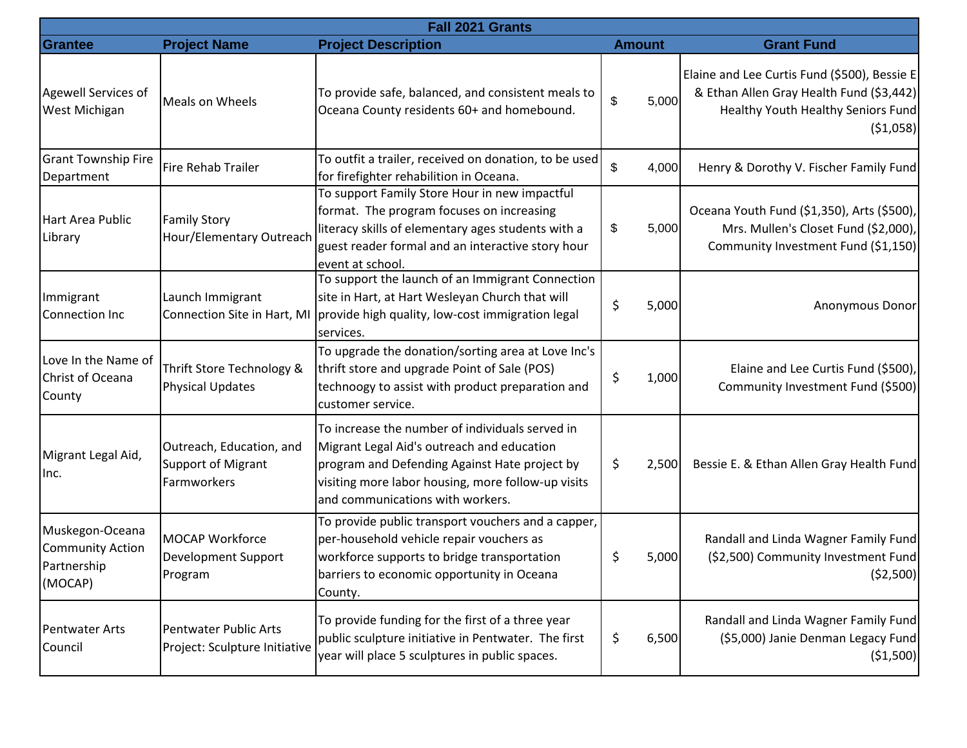| Fall 2021 Grants                                                     |                                                                      |                                                                                                                                                                                                                                          |               |                                                                                                                                            |  |  |  |  |
|----------------------------------------------------------------------|----------------------------------------------------------------------|------------------------------------------------------------------------------------------------------------------------------------------------------------------------------------------------------------------------------------------|---------------|--------------------------------------------------------------------------------------------------------------------------------------------|--|--|--|--|
| Grantee                                                              | <b>Project Name</b>                                                  | <b>Project Description</b>                                                                                                                                                                                                               | <b>Amount</b> | <b>Grant Fund</b>                                                                                                                          |  |  |  |  |
| Agewell Services of<br>West Michigan                                 | Meals on Wheels                                                      | To provide safe, balanced, and consistent meals to<br>Oceana County residents 60+ and homebound.                                                                                                                                         | 5,000<br>\$   | Elaine and Lee Curtis Fund (\$500), Bessie E<br>& Ethan Allen Gray Health Fund (\$3,442)<br>Healthy Youth Healthy Seniors Fund<br>(51,058) |  |  |  |  |
| <b>Grant Township Fire</b><br>Department                             | <b>Fire Rehab Trailer</b>                                            | To outfit a trailer, received on donation, to be used<br>for firefighter rehabilition in Oceana.                                                                                                                                         | \$<br>4,000   | Henry & Dorothy V. Fischer Family Fund                                                                                                     |  |  |  |  |
| Hart Area Public<br>Library                                          | <b>Family Story</b><br>Hour/Elementary Outreach                      | To support Family Store Hour in new impactful<br>format. The program focuses on increasing<br>literacy skills of elementary ages students with a<br>guest reader formal and an interactive story hour<br>event at school.                | 5,000<br>\$   | Oceana Youth Fund (\$1,350), Arts (\$500),<br>Mrs. Mullen's Closet Fund (\$2,000),<br>Community Investment Fund (\$1,150)                  |  |  |  |  |
| Immigrant<br><b>Connection Inc</b>                                   | Launch Immigrant<br>Connection Site in Hart, MI                      | To support the launch of an Immigrant Connection<br>site in Hart, at Hart Wesleyan Church that will<br>provide high quality, low-cost immigration legal<br>services.                                                                     | \$<br>5,000   | Anonymous Donor                                                                                                                            |  |  |  |  |
| Love In the Name of<br>Christ of Oceana<br>County                    | Thrift Store Technology &<br><b>Physical Updates</b>                 | To upgrade the donation/sorting area at Love Inc's<br>thrift store and upgrade Point of Sale (POS)<br>technoogy to assist with product preparation and<br>customer service.                                                              | 1,000<br>S    | Elaine and Lee Curtis Fund (\$500),<br>Community Investment Fund (\$500)                                                                   |  |  |  |  |
| Migrant Legal Aid,<br>Inc.                                           | Outreach, Education, and<br><b>Support of Migrant</b><br>Farmworkers | To increase the number of individuals served in<br>Migrant Legal Aid's outreach and education<br>program and Defending Against Hate project by<br>visiting more labor housing, more follow-up visits<br>and communications with workers. | \$.<br>2,500  | Bessie E. & Ethan Allen Gray Health Fund                                                                                                   |  |  |  |  |
| Muskegon-Oceana<br><b>Community Action</b><br>Partnership<br>(MOCAP) | <b>MOCAP Workforce</b><br>Development Support<br>Program             | To provide public transport vouchers and a capper,<br>per-household vehicle repair vouchers as<br>workforce supports to bridge transportation<br>barriers to economic opportunity in Oceana<br>County.                                   | \$<br>5,000   | Randall and Linda Wagner Family Fund<br>(\$2,500) Community Investment Fund<br>(52,500)                                                    |  |  |  |  |
| <b>Pentwater Arts</b><br>Council                                     | <b>Pentwater Public Arts</b><br>Project: Sculpture Initiative        | To provide funding for the first of a three year<br>public sculpture initiative in Pentwater. The first<br>year will place 5 sculptures in public spaces.                                                                                | \$<br>6,500   | Randall and Linda Wagner Family Fund<br>(\$5,000) Janie Denman Legacy Fund<br>(51,500)                                                     |  |  |  |  |